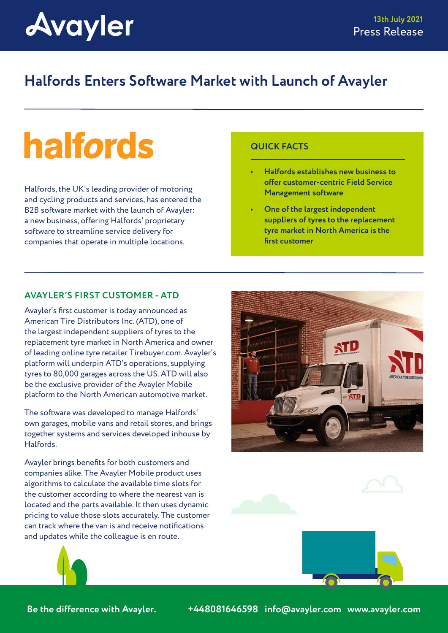

# **Halfords Enters Software Market with Launch of Avayler**

# **halfords**

Halfords, the UK's leading provider of motoring and cycling products and services, has entered the B2B software market with the launch of Avayler: a new business, offering Halfords' proprietary software to streamline service delivery for companies that operate in multiple locations.

## **QUICK FACTS**

- **• Halfords establishes new business to offer customer-centric Field Service Management software**
- **• One of the largest independent suppliers of tyres to the replacement tyre market in North America is the first customer**

## **AVAYLER'S FIRST CUSTOMER - ATD**

Avayler's first customer is today announced as American Tire Distributors Inc. (ATD), one of the largest independent suppliers of tyres to the replacement tyre market in North America and owner of leading online tyre retailer Tirebuyer.com. Avayler's platform will underpin ATD's operations, supplying tyres to 80,000 garages across the US. ATD will also be the exclusive provider of the Avayler Mobile platform to the North American automotive market.

The software was developed to manage Halfords' own garages, mobile vans and retail stores, and brings together systems and services developed inhouse by Halfords.

Avayler brings benefits for both customers and companies alike. The Avayler Mobile product uses algorithms to calculate the available time slots for the customer according to where the nearest van is located and the parts available. It then uses dynamic pricing to value those slots accurately. The customer can track where the van is and receive notifications and updates while the colleague is en route.





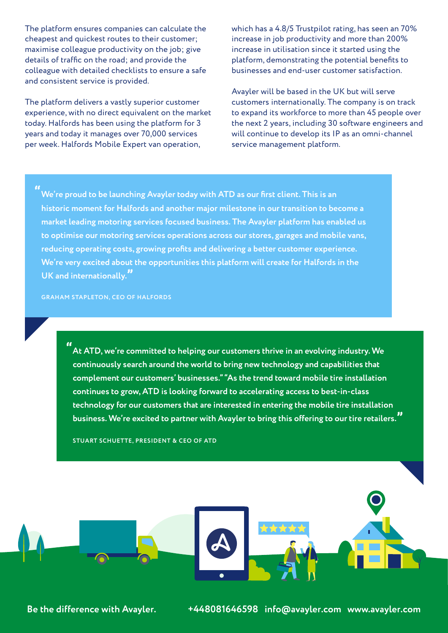The platform ensures companies can calculate the cheapest and quickest routes to their customer; maximise colleague productivity on the job; give details of traffic on the road; and provide the colleague with detailed checklists to ensure a safe and consistent service is provided.

The platform delivers a vastly superior customer experience, with no direct equivalent on the market today. Halfords has been using the platform for 3 years and today it manages over 70,000 services per week. Halfords Mobile Expert van operation,

which has a 4.8/5 Trustpilot rating, has seen an 70% increase in job productivity and more than 200% increase in utilisation since it started using the platform, demonstrating the potential benefits to businesses and end-user customer satisfaction.

Avayler will be based in the UK but will serve customers internationally. The company is on track to expand its workforce to more than 45 people over the next 2 years, including 30 software engineers and will continue to develop its IP as an omni-channel service management platform.

**" We're proud to be launching Avayler today with ATD as our first client. This is an historic moment for Halfords and another major milestone in our transition to become a market leading motoring services focused business. The Avayler platform has enabled us to optimise our motoring services operations across our stores, garages and mobile vans, reducing operating costs, growing profits and delivering a better customer experience. We're very excited about the opportunities this platform will create for Halfords in the UK and internationally."**

**GRAHAM STAPLETON, CEO OF HALFORDS**

**" At ATD, we're committed to helping our customers thrive in an evolving industry. We continuously search around the world to bring new technology and capabilities that complement our customers' businesses." "As the trend toward mobile tire installation continues to grow, ATD is looking forward to accelerating access to best-in-class technology for our customers that are interested in entering the mobile tire installation business. We're excited to partner with Avayler to bring this offering to our tire retailers."**

**STUART SCHUETTE, PRESIDENT & CEO OF ATD**